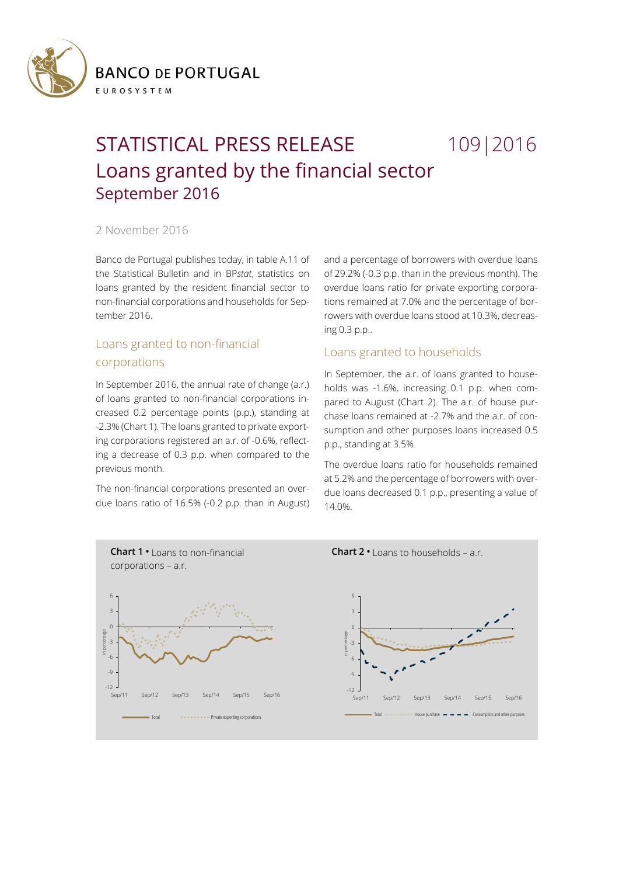

# STATISTICAL PRESS RELEASE 109 | 2016 Loans granted by the financial sector September 2016

### 2 November 2016

Banco de Portugal publishes today, in table A.11 of the Statistical Bulletin and in BP*stat*, statistics on loans granted by the resident financial sector to non-financial corporations and households for September 2016.

# Loans granted to non-financial corporations

In September 2016, the annual rate of change (a.r.) of loans granted to non-financial corporations increased 0.2 percentage points (p.p.), standing at -2.3% (Chart 1). The loans granted to private exporting corporations registered an a.r. of -0.6%, reflecting a decrease of 0.3 p.p. when compared to the previous month.

The non-financial corporations presented an overdue loans ratio of 16.5% (-0.2 p.p. than in August) and a percentage of borrowers with overdue loans of 29.2% (-0.3 p.p. than in the previous month). The overdue loans ratio for private exporting corporations remained at 7.0% and the percentage of borrowers with overdue loans stood at 10.3%, decreasing 0.3 p.p..

## Loans granted to households

In September, the a.r. of loans granted to households was -1.6%, increasing 0.1 p.p. when compared to August (Chart 2). The a.r. of house purchase loans remained at -2.7% and the a.r. of consumption and other purposes loans increased 0.5 p.p., standing at 3.5%.

The overdue loans ratio for households remained at 5.2% and the percentage of borrowers with overdue loans decreased 0.1 p.p., presenting a value of 14.0%.